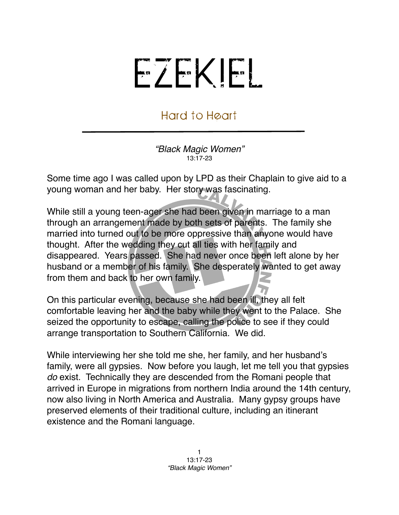## EZEKIEL

## Hard to Heart

*"Black Magic Women"* 13:17-23

Some time ago I was called upon by LPD as their Chaplain to give aid to a young woman and her baby. Her story was fascinating.

While still a young teen-ager she had been given in marriage to a man through an arrangement made by both sets of parents. The family she married into turned out to be more oppressive than anyone would have thought. After the wedding they cut all ties with her family and disappeared. Years passed. She had never once been left alone by her husband or a member of his family. She desperately wanted to get away from them and back to her own family.

On this particular evening, because she had been ill, they all felt comfortable leaving her and the baby while they went to the Palace. She seized the opportunity to escape, calling the police to see if they could arrange transportation to Southern California. We did.

While interviewing her she told me she, her family, and her husband's family, were all gypsies. Now before you laugh, let me tell you that gypsies *do* exist. Technically they are descended from the Romani people that arrived in Europe in migrations from northern India around the 14th century, now also living in North America and Australia. Many gypsy groups have preserved elements of their traditional culture, including an itinerant existence and the Romani language.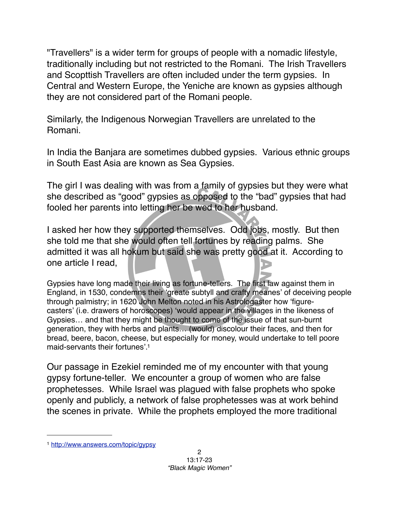"Travellers" is a wider term for groups of people with a nomadic lifestyle, traditionally including but not restricted to the Romani. The Irish Travellers and Scopttish Travellers are often included under the term gypsies. In Central and Western Europe, the Yeniche are known as gypsies although they are not considered part of the Romani people.

Similarly, the Indigenous Norwegian Travellers are unrelated to the Romani.

In India the Banjara are sometimes dubbed gypsies. Various ethnic groups in South East Asia are known as Sea Gypsies.

The girl I was dealing with was from a family of gypsies but they were what she described as "good" gypsies as opposed to the "bad" gypsies that had fooled her parents into letting her be wed to her husband.

I asked her how they supported themselves. Odd jobs, mostly. But then she told me that she would often tell fortunes by reading palms. She admitted it was all hokum but said she was pretty good at it. According to one article I read,

Gypsies have long made their living as [fortune-tellers](http://www.answers.com/topic/deaf-and-dumb-fortune-teller). The first law against them in England, in 1530, condemns their ʻgreate subtyll and crafty meanes' of deceiving people through palmistry; in 1620 John [Melton](http://www.answers.com/topic/john-melton-1) noted in his Astrologaster how ʻfigurecasters' (i.e. drawers of horoscopes) ʻwould appear in the villages in the likeness of Gypsies… and that they might be thought to come of the issue of that sun-burnt generation, they with herbs and plants… (would) discolour their faces, and then for bread, beere, bacon, cheese, but especially for money, would undertake to tell poore maid-servants their fortunes'. [1](#page-1-0)

Our passage in Ezekiel reminded me of my encounter with that young gypsy fortune-teller. We encounter a group of women who are false prophetesses. While Israel was plagued with false prophets who spoke openly and publicly, a network of false prophetesses was at work behind the scenes in private. While the prophets employed the more traditional

<span id="page-1-0"></span><sup>1</sup> <http://www.answers.com/topic/gypsy>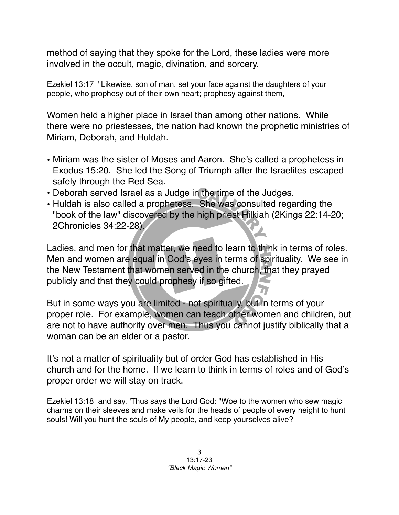method of saying that they spoke for the Lord, these ladies were more involved in the occult, magic, divination, and sorcery.

Ezekiel 13:17 "Likewise, son of man, set your face against the daughters of your people, who prophesy out of their own heart; prophesy against them,

Women held a higher place in Israel than among other nations. While there were no priestesses, the nation had known the prophetic ministries of Miriam, Deborah, and Huldah.

- Miriam was the sister of Moses and Aaron. She's called a prophetess in Exodus 15:20. She led the Song of Triumph after the Israelites escaped safely through the Red Sea.
- Deborah served Israel as a Judge in the time of the Judges.
- Huldah is also called a prophetess. She was consulted regarding the "book of the law" discovered by the high priest Hilkiah (2Kings 22:14-20; 2Chronicles 34:22-28).

Ladies, and men for that matter, we need to learn to think in terms of roles. Men and women are equal in God's eyes in terms of spirituality. We see in the New Testament that women served in the church, that they prayed publicly and that they could prophesy if so gifted.

But in some ways you are limited - not spiritually, but in terms of your proper role. For example, women can teach other women and children, but are not to have authority over men. Thus you cannot justify biblically that a woman can be an elder or a pastor.

It's not a matter of spirituality but of order God has established in His church and for the home. If we learn to think in terms of roles and of God's proper order we will stay on track.

Ezekiel 13:18 and say, 'Thus says the Lord God: "Woe to the women who sew magic charms on their sleeves and make veils for the heads of people of every height to hunt souls! Will you hunt the souls of My people, and keep yourselves alive?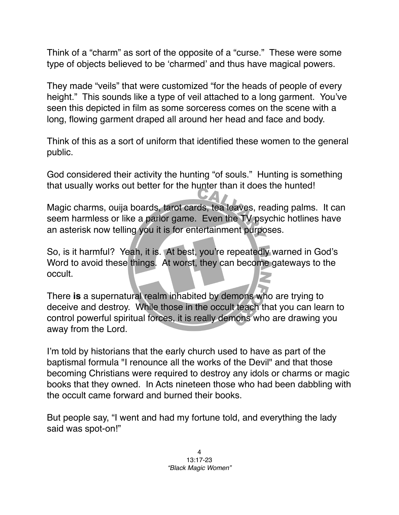Think of a "charm" as sort of the opposite of a "curse." These were some type of objects believed to be ʻcharmed' and thus have magical powers.

They made "veils" that were customized "for the heads of people of every height." This sounds like a type of veil attached to a long garment. You've seen this depicted in film as some sorceress comes on the scene with a long, flowing garment draped all around her head and face and body.

Think of this as a sort of uniform that identified these women to the general public.

God considered their activity the hunting "of souls." Hunting is something that usually works out better for the hunter than it does the hunted!

Magic charms, ouija boards, tarot cards, tea leaves, reading palms. It can seem harmless or like a parlor game. Even the TV psychic hotlines have an asterisk now telling you it is for entertainment purposes.

So, is it harmful? Yeah, it is. At best, you're repeatedly warned in God's Word to avoid these things. At worst, they can become gateways to the occult.

There **is** a supernatural realm inhabited by demons who are trying to deceive and destroy. While those in the occult teach that you can learn to control powerful spiritual forces, it is really demons who are drawing you away from the Lord.

I'm told by historians that the early church used to have as part of the baptismal formula "I renounce all the works of the Devil" and that those becoming Christians were required to destroy any idols or charms or magic books that they owned. In Acts nineteen those who had been dabbling with the occult came forward and burned their books.

But people say, "I went and had my fortune told, and everything the lady said was spot-on!"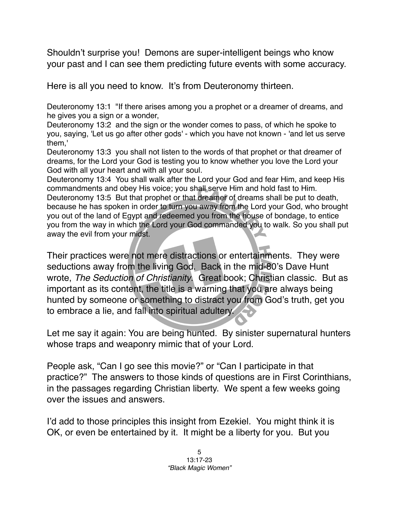Shouldn't surprise you! Demons are super-intelligent beings who know your past and I can see them predicting future events with some accuracy.

Here is all you need to know. It's from Deuteronomy thirteen.

Deuteronomy 13:1 "If there arises among you a prophet or a dreamer of dreams, and he gives you a sign or a wonder,

Deuteronomy 13:2 and the sign or the wonder comes to pass, of which he spoke to you, saying, 'Let us go after other gods' - which you have not known - 'and let us serve them,'

Deuteronomy 13:3 you shall not listen to the words of that prophet or that dreamer of dreams, for the Lord your God is testing you to know whether you love the Lord your God with all your heart and with all your soul.

Deuteronomy 13:4 You shall walk after the Lord your God and fear Him, and keep His commandments and obey His voice; you shall serve Him and hold fast to Him. Deuteronomy 13:5 But that prophet or that dreamer of dreams shall be put to death, because he has spoken in order to turn you away from the Lord your God, who brought you out of the land of Egypt and redeemed you from the house of bondage, to entice you from the way in which the Lord your God commanded you to walk. So you shall put away the evil from your midst.

Their practices were not mere distractions or entertainments. They were seductions away from the living God. Back in the mid-80's Dave Hunt wrote, *The Seduction of Christianity*. Great book; Christian classic. But as important as its content, the title is a warning that you are always being hunted by someone or something to distract you from God's truth, get you to embrace a lie, and fall into spiritual adultery.

Let me say it again: You are being hunted. By sinister supernatural hunters whose traps and weaponry mimic that of your Lord.

People ask, "Can I go see this movie?" or "Can I participate in that practice?" The answers to those kinds of questions are in First Corinthians, in the passages regarding Christian liberty. We spent a few weeks going over the issues and answers.

I'd add to those principles this insight from Ezekiel. You might think it is OK, or even be entertained by it. It might be a liberty for you. But you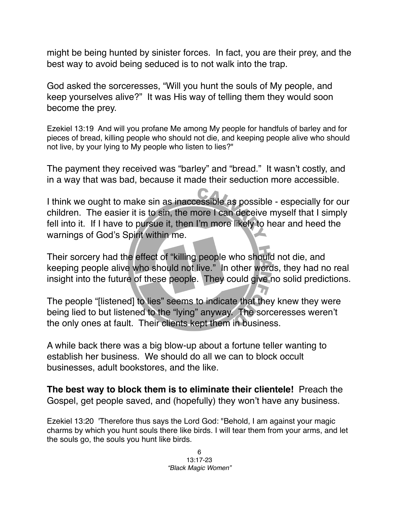might be being hunted by sinister forces. In fact, you are their prey, and the best way to avoid being seduced is to not walk into the trap.

God asked the sorceresses, "Will you hunt the souls of My people, and keep yourselves alive?" It was His way of telling them they would soon become the prey.

Ezekiel 13:19 And will you profane Me among My people for handfuls of barley and for pieces of bread, killing people who should not die, and keeping people alive who should not live, by your lying to My people who listen to lies?"

The payment they received was "barley" and "bread." It wasn't costly, and in a way that was bad, because it made their seduction more accessible.

I think we ought to make sin as inaccessible as possible - especially for our children. The easier it is to sin, the more I can deceive myself that I simply fell into it. If I have to pursue it, then I'm more likely to hear and heed the warnings of God's Spirit within me.

Their sorcery had the effect of "killing people who should not die, and keeping people alive who should not live." In other words, they had no real insight into the future of these people. They could give no solid predictions.

The people "[listened] to lies" seems to indicate that they knew they were being lied to but listened to the "lying" anyway. The sorceresses weren't the only ones at fault. Their clients kept them in business.

A while back there was a big blow-up about a fortune teller wanting to establish her business. We should do all we can to block occult businesses, adult bookstores, and the like.

**The best way to block them is to eliminate their clientele!** Preach the Gospel, get people saved, and (hopefully) they won't have any business.

Ezekiel 13:20 'Therefore thus says the Lord God: "Behold, I am against your magic charms by which you hunt souls there like birds. I will tear them from your arms, and let the souls go, the souls you hunt like birds.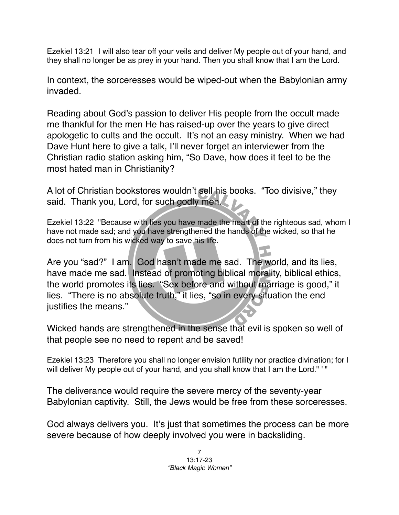Ezekiel 13:21 I will also tear off your veils and deliver My people out of your hand, and they shall no longer be as prey in your hand. Then you shall know that I am the Lord.

In context, the sorceresses would be wiped-out when the Babylonian army invaded.

Reading about God's passion to deliver His people from the occult made me thankful for the men He has raised-up over the years to give direct apologetic to cults and the occult. It's not an easy ministry. When we had Dave Hunt here to give a talk, I'll never forget an interviewer from the Christian radio station asking him, "So Dave, how does it feel to be the most hated man in Christianity?

A lot of Christian bookstores wouldn't sell his books. "Too divisive," they said. Thank you, Lord, for such godly men.

Ezekiel 13:22 "Because with lies you have made the heart of the righteous sad, whom I have not made sad; and you have strengthened the hands of the wicked, so that he does not turn from his wicked way to save his life.

Are you "sad?" I am. God hasn't made me sad. The world, and its lies, have made me sad. Instead of promoting biblical morality, biblical ethics, the world promotes its lies. "Sex before and without marriage is good," it lies. "There is no absolute truth," it lies, "so in every situation the end justifies the means."

Wicked hands are strengthened in the sense that evil is spoken so well of that people see no need to repent and be saved!

Ezekiel 13:23 Therefore you shall no longer envision futility nor practice divination; for I will deliver My people out of your hand, and you shall know that I am the Lord." '"

The deliverance would require the severe mercy of the seventy-year Babylonian captivity. Still, the Jews would be free from these sorceresses.

God always delivers you. It's just that sometimes the process can be more severe because of how deeply involved you were in backsliding.